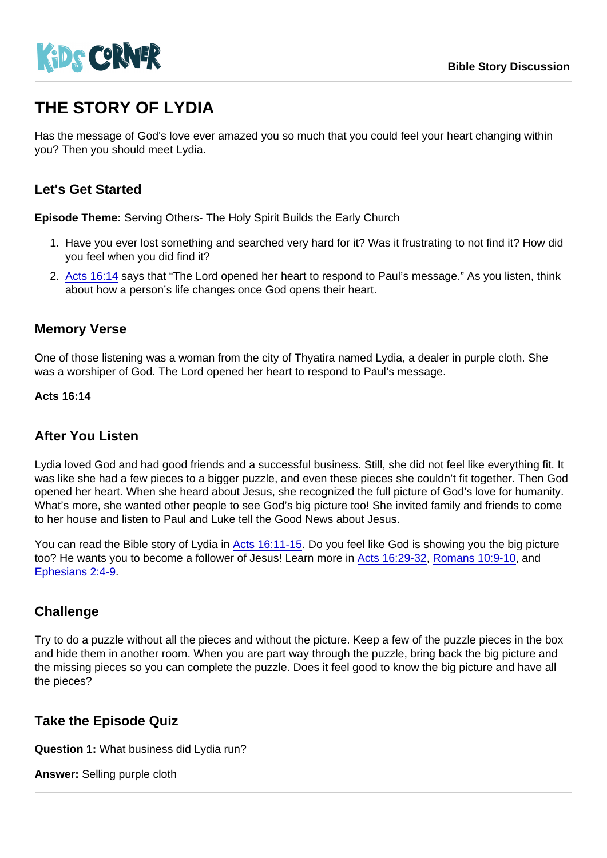# THE STORY OF LYDIA

Has the message of God's love ever amazed you so much that you could feel your heart changing within you? Then you should meet Lydia.

# Let's Get Started

Episode Theme: Serving Others- The Holy Spirit Builds the Early Church

- 1. Have you ever lost something and searched very hard for it? Was it frustrating to not find it? How did you feel when you did find it?
- 2. [Acts 16:14](https://www.biblegateway.com/passage/?search=Acts+16:14&version=NIV) says that "The Lord opened her heart to respond to Paul's message." As you listen, think about how a person's life changes once God opens their heart.

#### Memory Verse

One of those listening was a woman from the city of Thyatira named Lydia, a dealer in purple cloth. She was a worshiper of God. The Lord opened her heart to respond to Paul's message.

Acts 16:14

### After You Listen

Lydia loved God and had good friends and a successful business. Still, she did not feel like everything fit. It was like she had a few pieces to a bigger puzzle, and even these pieces she couldn't fit together. Then God opened her heart. When she heard about Jesus, she recognized the full picture of God's love for humanity. What's more, she wanted other people to see God's big picture too! She invited family and friends to come to her house and listen to Paul and Luke tell the Good News about Jesus.

You can read the Bible story of Lydia in [Acts 16:11-15](https://www.biblegateway.com/passage/?search=Acts+16:11-15&version=NIV). Do you feel like God is showing you the big picture too? He wants you to become a follower of Jesus! Learn more in [Acts 16:29-32,](https://www.biblegateway.com/passage/?search=Acts+16:29-32&version=NIV) [Romans 10:9-10](https://www.biblegateway.com/passage/?search=Romans+10:9-10&version=NIV), and [Ephesians 2:4-9.](https://www.biblegateway.com/passage/?search=Ephesians+2:4-9&version=NIV)

#### **Challenge**

Try to do a puzzle without all the pieces and without the picture. Keep a few of the puzzle pieces in the box and hide them in another room. When you are part way through the puzzle, bring back the big picture and the missing pieces so you can complete the puzzle. Does it feel good to know the big picture and have all the pieces?

# Take the Episode Quiz

Question 1: What business did Lydia run?

Answer: Selling purple cloth